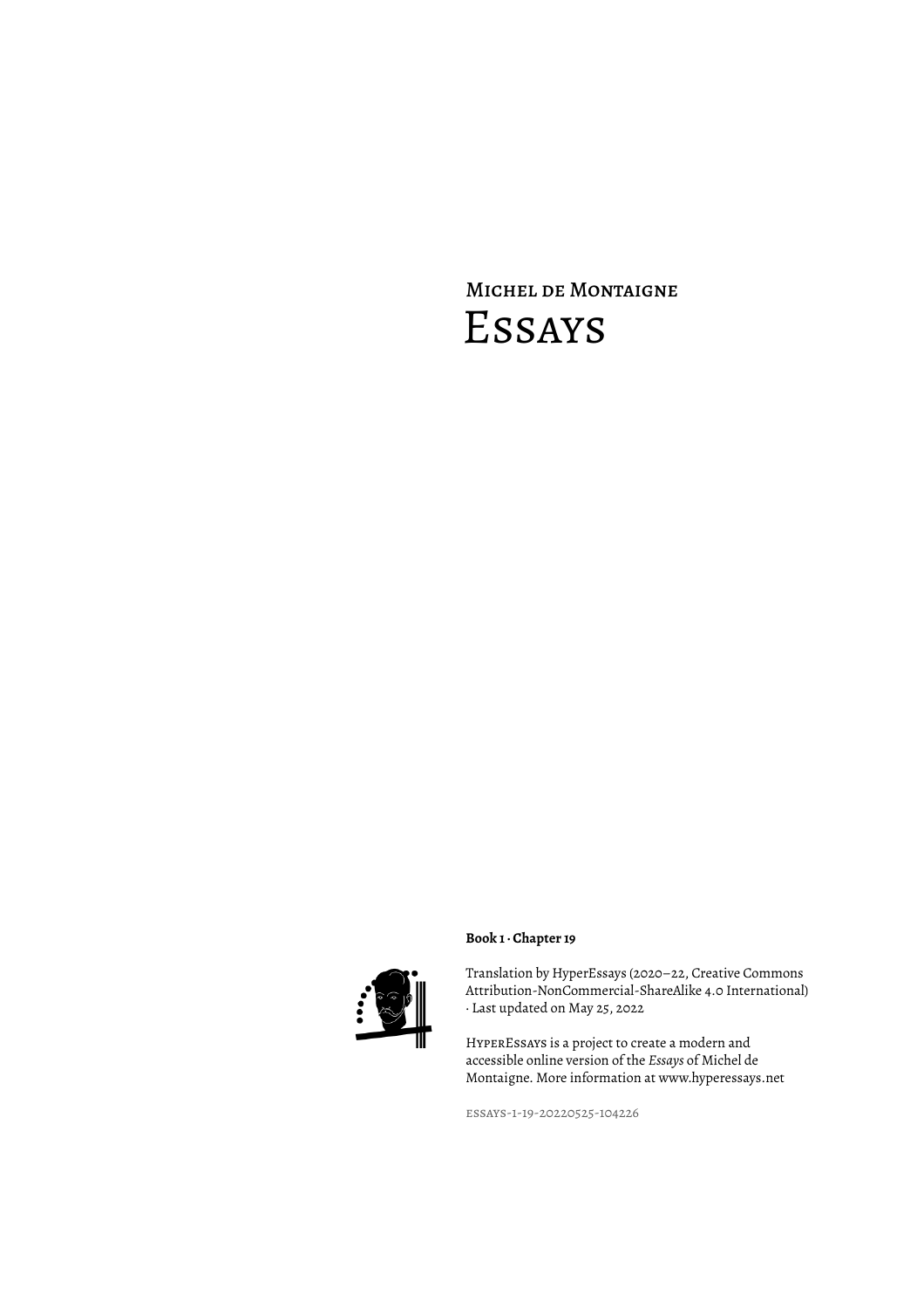# Michel de Montaigne Essays



# **Book 1 · Chapter 19**

Translation by HyperEssays (2020–22, Creative Commons Attribution-NonCommercial-ShareAlike 4.0 International) · Last updated on May 25, 2022

HyperEssays is a project to create a modern and accessible online version of the *Essays* of Michel de Montaigne. More information at www.hyperessays.net

essays-1-19-20220525-104226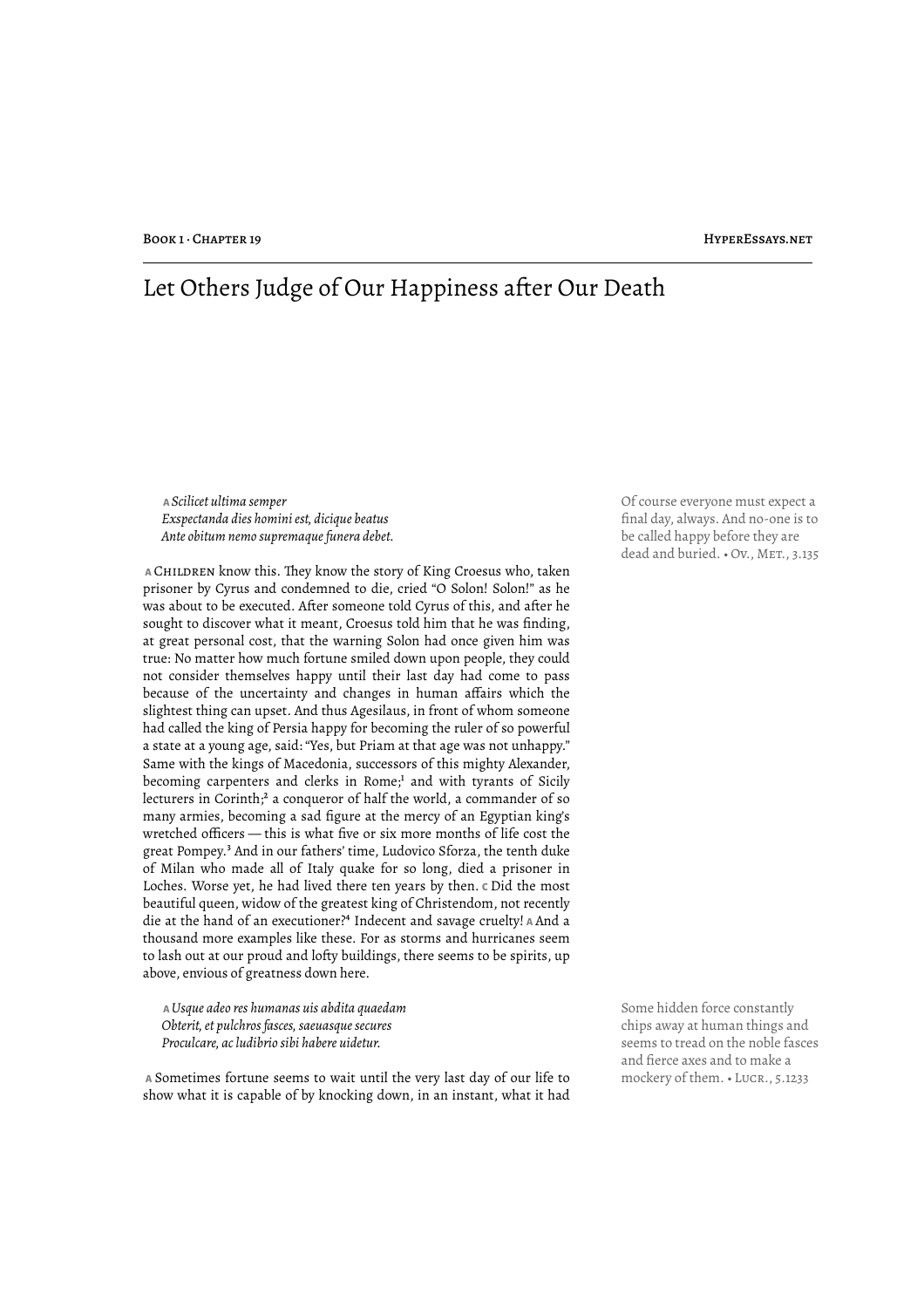# Let Others Judge of Our Happiness after Our Death

 **A** *Scilicet ultima semper Exspectanda dies homini est, dicique beatus Ante obitum nemo supremaque funera debet.*

 **A** Children know this. "ey know the story of King Croesus who, taken prisoner by Cyrus and condemned to die, cried "O Solon! Solon!" as he was about to be executed. After someone told Cyrus of this, and after he sought to discover what it meant, Croesus told him that he was finding, at great personal cost, that the warning Solon had once given him was true: No matter how much fortune smiled down upon people, they could not consider themselves happy until their last day had come to pass because of the uncertainty and changes in human affairs which the slightest thing can upset. And thus Agesilaus, in front of whom someone had called the king of Persia happy for becoming the ruler of so powerful a state at a young age, said: "Yes, but Priam at that age was not unhappy." Same with the kings of Macedonia, successors of this mighty Alexander, becoming carpenters and clerks in Rome;<sup>1</sup> and with tyrants of Sicily lecturers in Corinth;<sup>2</sup> a conqueror of half the world, a commander of so many armies, becoming a sad figure at the mercy of an Egyptian king's wretched officers — this is what five or six more months of life cost the great Pompey.³ And in our fathers' time, Ludovico Sforza, the tenth duke of Milan who made all of Italy quake for so long, died a prisoner in Loches. Worse yet, he had lived there ten years by then. **C** Did the most beautiful queen, widow of the greatest king of Christendom, not recently die at the hand of an executioner?⁴ Indecent and savage cruelty! **A** And a thousand more examples like these. For as storms and hurricanes seem to lash out at our proud and lofty buildings, there seems to be spirits, up above, envious of greatness down here.

 **A** *Usque adeo res humanas uis abdita quaedam Obterit, et pulchros fasces, saeuasque secures Proculcare, ac ludibrio sibi habere uidetur.*

 **A** Sometimes fortune seems to wait until the very last day of our life to mockery of them. • Lucr., 5.1233 show what it is capable of by knocking down, in an instant, what it had

Of course everyone must expect a final day, always. And no-one is to be called happy before they are dead and buried. . Ov., MET., 3.135

Some hidden force constantly chips away at human things and seems to tread on the noble fasces and fierce axes and to make a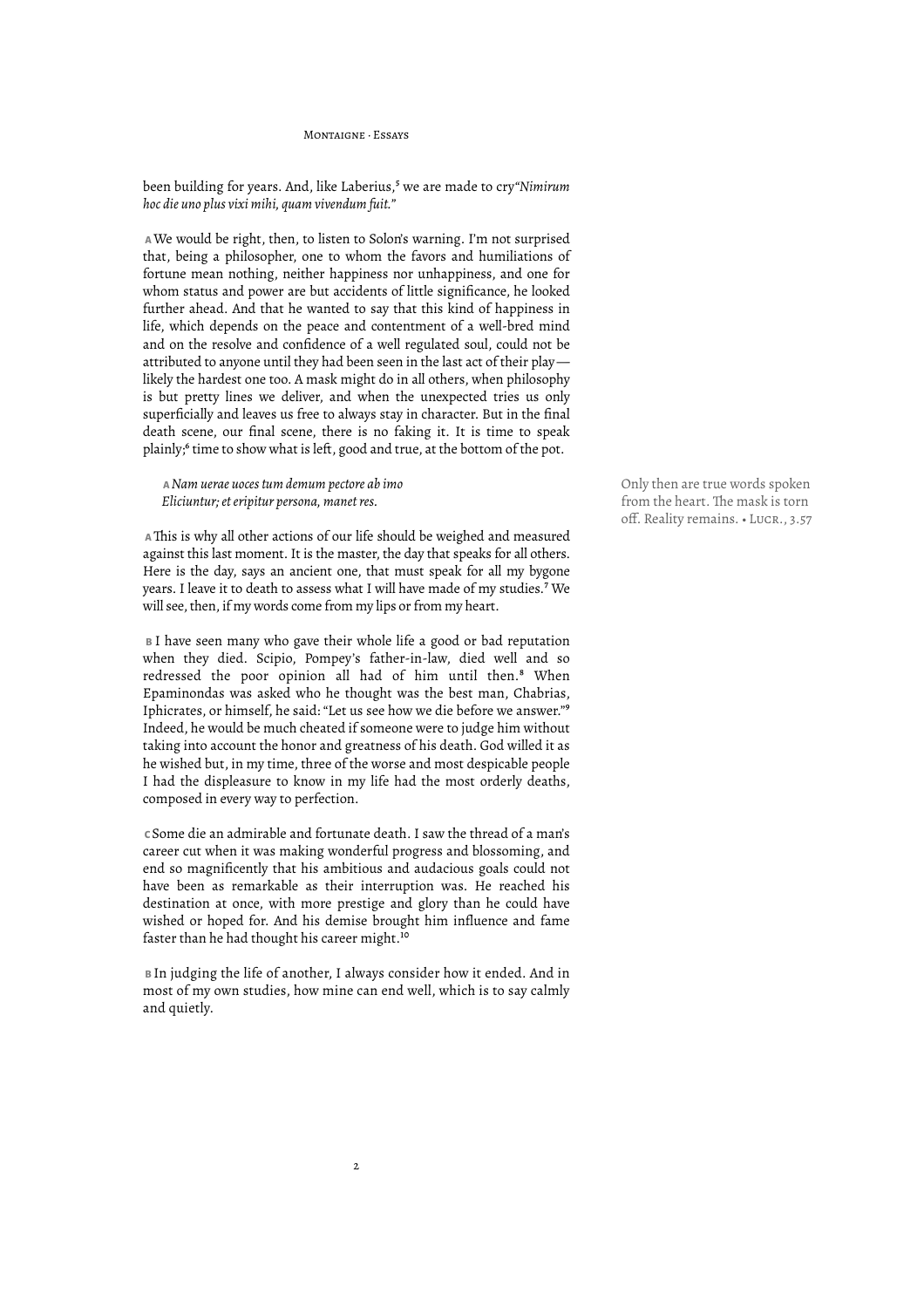Montaigne · Essays

been building for years. And, like Laberius,<sup>5</sup> we are made to cry"Nimirum *hoc die uno plus vixi mihi, quam vivendum fuit."*

 **A** We would be right, then, to listen to Solon's warning. I'm not surprised that, being a philosopher, one to whom the favors and humiliations of fortune mean nothing, neither happiness nor unhappiness, and one for whom status and power are but accidents of little significance, he looked further ahead. And that he wanted to say that this kind of happiness in life, which depends on the peace and contentment of a well-bred mind and on the resolve and confidence of a well regulated soul, could not be attributed to anyone until they had been seen in the last act of their play likely the hardest one too. A mask might do in all others, when philosophy is but pretty lines we deliver, and when the unexpected tries us only superficially and leaves us free to always stay in character. But in the final death scene, our final scene, there is no faking it. It is time to speak plainly;<sup>6</sup> time to show what is left, good and true, at the bottom of the pot.

 **A** *Nam uerae uoces tum demum pectore ab imo Eliciuntur; et eripitur persona, manet res.*

 **A** "is is why all other actions of our life should be weighed and measured against this last moment. It is the master, the day that speaks for all others. Here is the day, says an ancient one, that must speak for all my bygone years. I leave it to death to assess what I will have made of my studies.<sup>7</sup> We will see, then, if my words come from my lips or from my heart.

 **B** I have seen many who gave their whole life a good or bad reputation when they died. Scipio, Pompey's father-in-law, died well and so redressed the poor opinion all had of him until then.<sup>8</sup> When Epaminondas was asked who he thought was the best man, Chabrias, Iphicrates, or himself, he said: "Let us see how we die before we answer."<sup>9</sup> Indeed, he would be much cheated if someone were to judge him without taking into account the honor and greatness of his death. God willed it as he wished but, in my time, three of the worse and most despicable people I had the displeasure to know in my life had the most orderly deaths, composed in every way to perfection.

 **C** Some die an admirable and fortunate death. I saw the thread of a man's career cut when it was making wonderful progress and blossoming, and end so magnificently that his ambitious and audacious goals could not have been as remarkable as their interruption was. He reached his destination at once, with more prestige and glory than he could have wished or hoped for. And his demise brought him influence and fame faster than he had thought his career might.<sup>10</sup>

 **B** In judging the life of another, I always consider how it ended. And in most of my own studies, how mine can end well, which is to say calmly and quietly.

2

Only then are true words spoken from the heart. The mask is torn off. Reality remains. • LUCR., 3.57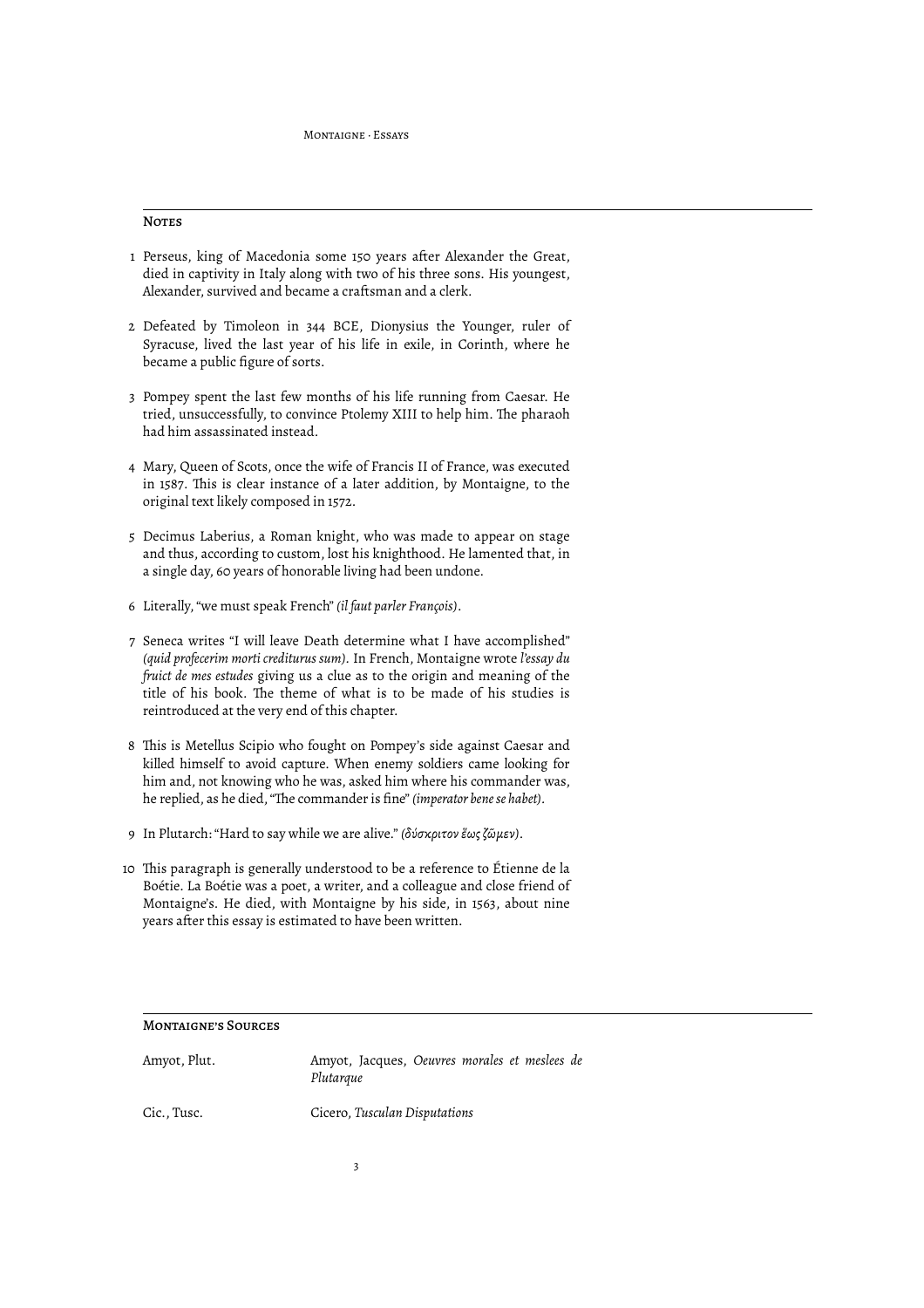#### **NOTES**

- 1 Perseus, king of Macedonia some 150 years after Alexander the Great, died in captivity in Italy along with two of his three sons. His youngest, Alexander, survived and became a craftsman and a clerk.
- 2 Defeated by Timoleon in 344 BCE, Dionysius the Younger, ruler of Syracuse, lived the last year of his life in exile, in Corinth, where he became a public figure of sorts.
- 3 Pompey spent the last few months of his life running from Caesar. He tried, unsuccessfully, to convince Ptolemy XIII to help him. The pharaoh had him assassinated instead.
- 4 Mary, Queen of Scots, once the wife of Francis II of France, was executed in 1587. This is clear instance of a later addition, by Montaigne, to the original text likely composed in 1572.
- 5 Decimus Laberius, a Roman knight, who was made to appear on stage and thus, according to custom, lost his knighthood. He lamented that, in a single day, 60 years of honorable living had been undone.
- 6 Literally, "we must speak French" *(il faut parler François)*.
- 7 Seneca writes "I will leave Death determine what I have accomplished" *(quid profecerim morti crediturus sum).* In French, Montaigne wrote *l'essay du fruict de mes estudes* giving us a clue as to the origin and meaning of the title of his book. The theme of what is to be made of his studies is reintroduced at the very end of this chapter.
- 8 This is Metellus Scipio who fought on Pompey's side against Caesar and killed himself to avoid capture. When enemy soldiers came looking for him and, not knowing who he was, asked him where his commander was, he replied, as he died, "The commander is fine" *(imperator bene se habet)*.
- 9 In Plutarch: "Hard to say while we are alive." *(δύσκριτον ἕως ζῶμεν)*.
- 10 "is paragraph is generally understood to be a reference to Étienne de la Boétie. La Boétie was a poet, a writer, and a colleague and close friend of Montaigne's. He died, with Montaigne by his side, in 1563, about nine years after this essay is estimated to have been written.

### Montaigne's Sources

| Amyot, Plut. | Amyot, Jacques, Oeuvres morales et meslees de<br>Plutarque |
|--------------|------------------------------------------------------------|
| Cic., Tusc.  | Cicero, Tusculan Disputations                              |